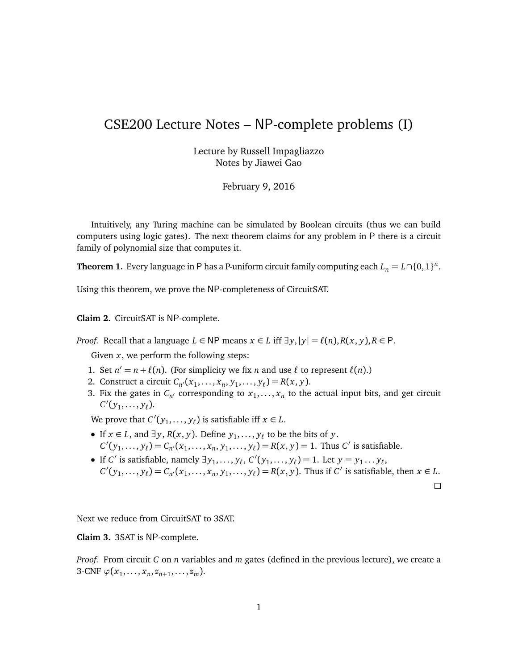## CSE200 Lecture Notes – NP-complete problems (I)

Lecture by Russell Impagliazzo Notes by Jiawei Gao

February 9, 2016

Intuitively, any Turing machine can be simulated by Boolean circuits (thus we can build computers using logic gates). The next theorem claims for any problem in P there is a circuit family of polynomial size that computes it.

**Theorem 1.** Every language in P has a P-uniform circuit family computing each  $L_n = L \cap \{0, 1\}^n$ .

Using this theorem, we prove the NP-completeness of CircuitSAT.

**Claim 2.** CircuitSAT is NP-complete.

*Proof.* Recall that a language  $L \in NP$  means  $x \in L$  iff  $\exists y, |y| = \ell(n), R(x, y), R \in P$ .

Given *x*, we perform the following steps:

- 1. Set  $n' = n + \ell(n)$ . (For simplicity we fix *n* and use  $\ell$  to represent  $\ell(n)$ .)
- 2. Construct a circuit  $C_{n'}(x_1, ..., x_n, y_1, ..., y_\ell) = R(x, y)$ .
- 3. Fix the gates in  $C_{n'}$  corresponding to  $x_1, \ldots, x_n$  to the actual input bits, and get circuit  $C'(y_1, ..., y_\ell)$ .

We prove that  $C'(y_1, \ldots, y_\ell)$  is satisfiable iff  $x \in L$ .

- $\bullet$  If *x* ∈ *L*, and ∃*y*, *R*(*x*, *y*). Define *y*<sub>1</sub>, . . . , *y*<sub> $\ell$ </sub> to be the bits of *y*.  $C'(y_1, \ldots, y_\ell) = C_{n'}(x_1, \ldots, x_n, y_1, \ldots, y_\ell) = R(x, y) = 1$ . Thus *C*' is satisfiable.
- If *C'* is satisfiable, namely  $\exists y_1, \ldots, y_\ell, C'(y_1, \ldots, y_\ell) = 1$ . Let  $y = y_1 \ldots y_\ell$ ,  $C'(y_1,..., y_\ell) = C_{n'}(x_1,..., x_n, y_1,..., y_\ell) = R(x, y)$ . Thus if C' is satisfiable, then  $x \in L$ .

 $\Box$ 

Next we reduce from CircuitSAT to 3SAT.

**Claim 3.** 3SAT is NP-complete.

*Proof.* From circuit *C* on *n* variables and *m* gates (defined in the previous lecture), we create a 3-CNF  $\varphi(x_1, ..., x_n, z_{n+1}, ..., z_m)$ .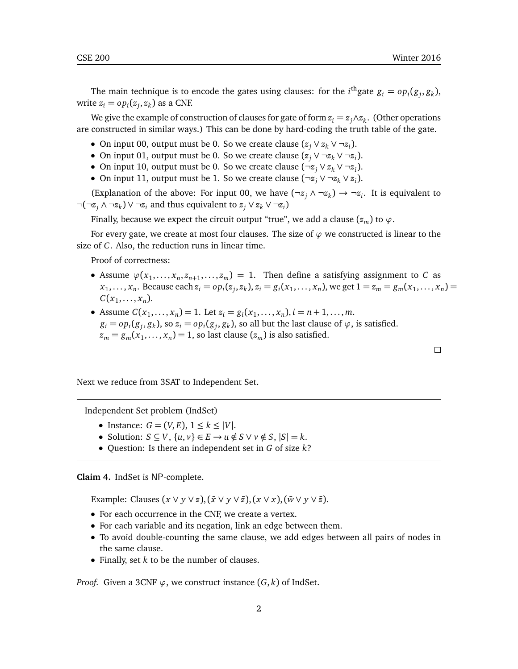The main technique is to encode the gates using clauses: for the  $i^{\text{th}}$ gate  $g_i = op_i(g_j, g_k)$ , write  $z_i = op_i(z_j, z_k)$  as a CNF.

We give the example of construction of clauses for gate of form  $z_i = z_j \wedge z_k$ . (Other operations are constructed in similar ways.) This can be done by hard-coding the truth table of the gate.

- On input 00, output must be 0. So we create clause  $(z_j \vee z_k \vee \neg z_i)$ .
- On input 01, output must be 0. So we create clause  $(z_j \vee \neg z_k \vee \neg z_i)$ .
- On input 10, output must be 0. So we create clause (¬*z<sup>j</sup>* ∨ *z<sup>k</sup>* ∨ ¬*z<sup>i</sup>* ).
- On input 11, output must be 1. So we create clause  $(\neg z_j \lor \neg z_k \lor z_i)$ .

(Explanation of the above: For input 00, we have  $(\neg z_j \land \neg z_k) \rightarrow \neg z_i$ . It is equivalent to ¬(¬*z<sup>j</sup>* ∧ ¬*z<sup>k</sup>* ) ∨ ¬*z<sup>i</sup>* and thus equivalent to *z<sup>j</sup>* ∨ *z<sup>k</sup>* ∨ ¬*z<sup>i</sup>* )

Finally, because we expect the circuit output "true", we add a clause  $(z_m)$  to  $\varphi$ .

For every gate, we create at most four clauses. The size of *ϕ* we constructed is linear to the size of *C*. Also, the reduction runs in linear time.

Proof of correctness:

- Assume  $\varphi(x_1, \ldots, x_n, z_{n+1}, \ldots, z_m) = 1$ . Then define a satisfying assignment to *C* as  $x_1,\ldots,x_n$ . Because each  $z_i=op_i(z_j,z_k),$   $z_i=g_i(x_1,\ldots,x_n)$ , we get  $1=z_m=g_m(x_1,\ldots,x_n)=1$  $C(x_1, \ldots, x_n)$ .
- Assume  $C(x_1, ..., x_n) = 1$ . Let  $z_i = g_i(x_1, ..., x_n)$ ,  $i = n + 1, ..., m$ .  $g_i = op_i(g_j, g_k)$ , so  $z_i = op_i(g_j, g_k)$ , so all but the last clause of  $\varphi$ , is satisfied.  $z_m = g_m(x_1, \ldots, x_n) = 1$ , so last clause  $(z_m)$  is also satisfied.

Next we reduce from 3SAT to Independent Set.

Independent Set problem (IndSet)

- Instance:  $G = (V, E), 1 \leq k \leq |V|$ .
- Solution:  $S \subseteq V$ ,  $\{u, v\} \in E \rightarrow u \notin S \lor v \notin S$ ,  $|S| = k$ .
- Question: Is there an independent set in *G* of size *k*?

**Claim 4.** IndSet is NP-complete.

Example: Clauses  $(x \vee y \vee z)$ ,  $(\bar{x} \vee y \vee \bar{z})$ ,  $(x \vee x)$ ,  $(\bar{w} \vee y \vee \bar{z})$ .

- For each occurrence in the CNF, we create a vertex.
- For each variable and its negation, link an edge between them.
- To avoid double-counting the same clause, we add edges between all pairs of nodes in the same clause.
- Finally, set *k* to be the number of clauses.

*Proof.* Given a 3CNF  $\varphi$ , we construct instance  $(G, k)$  of IndSet.